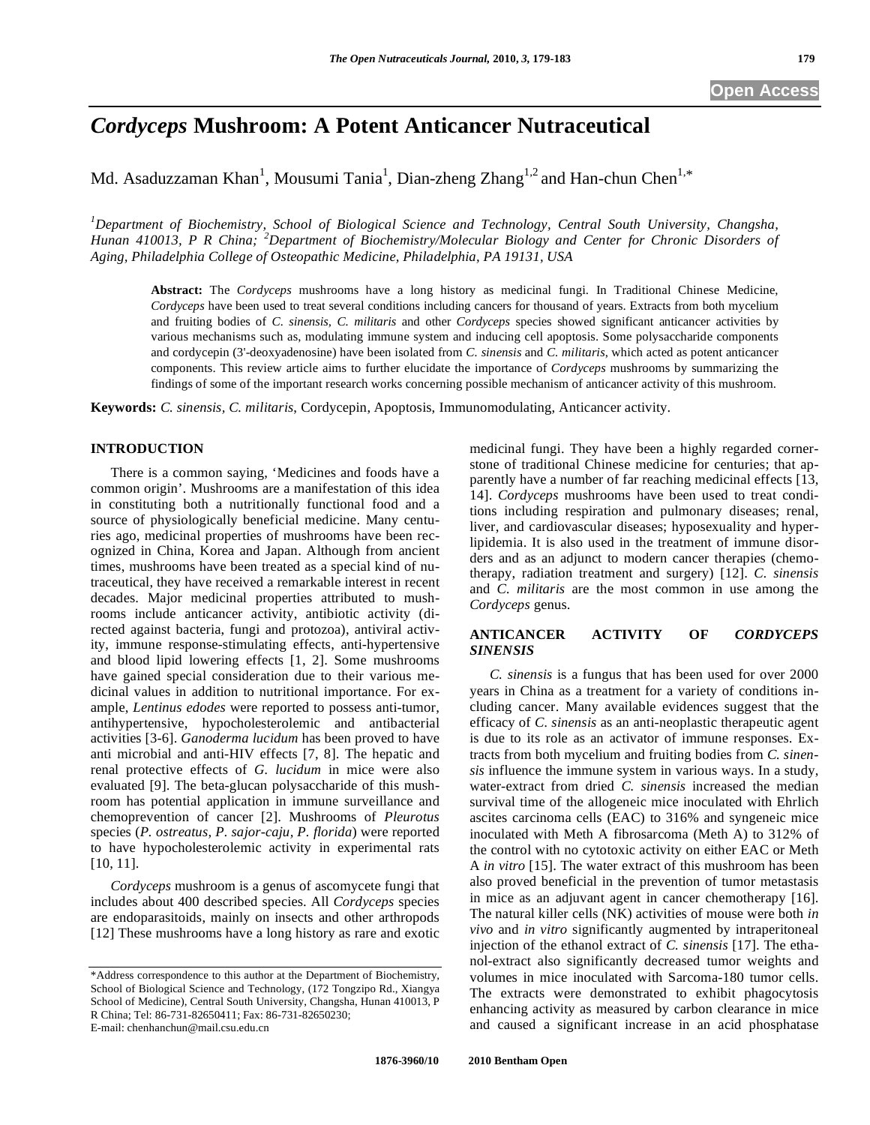# *Cordyceps* **Mushroom: A Potent Anticancer Nutraceutical**

Md. Asaduzzaman Khan<sup>1</sup>, Mousumi Tania<sup>1</sup>, Dian-zheng Zhang<sup>1,2</sup> and Han-chun Chen<sup>1,\*</sup>

*1 Department of Biochemistry, School of Biological Science and Technology, Central South University, Changsha, Hunan 410013, P R China; <sup>2</sup> Department of Biochemistry/Molecular Biology and Center for Chronic Disorders of Aging, Philadelphia College of Osteopathic Medicine, Philadelphia, PA 19131, USA* 

**Abstract:** The *Cordyceps* mushrooms have a long history as medicinal fungi. In Traditional Chinese Medicine, *Cordyceps* have been used to treat several conditions including cancers for thousand of years. Extracts from both mycelium and fruiting bodies of *C. sinensis, C. militaris* and other *Cordyceps* species showed significant anticancer activities by various mechanisms such as, modulating immune system and inducing cell apoptosis. Some polysaccharide components and cordycepin (3'-deoxyadenosine) have been isolated from *C. sinensis* and *C. militaris*, which acted as potent anticancer components. This review article aims to further elucidate the importance of *Cordyceps* mushrooms by summarizing the findings of some of the important research works concerning possible mechanism of anticancer activity of this mushroom.

**Keywords:** *C. sinensis, C. militaris*, Cordycepin, Apoptosis, Immunomodulating, Anticancer activity.

### **INTRODUCTION**

 There is a common saying, 'Medicines and foods have a common origin'. Mushrooms are a manifestation of this idea in constituting both a nutritionally functional food and a source of physiologically beneficial medicine. Many centuries ago, medicinal properties of mushrooms have been recognized in China, Korea and Japan. Although from ancient times, mushrooms have been treated as a special kind of nutraceutical, they have received a remarkable interest in recent decades. Major medicinal properties attributed to mushrooms include anticancer activity, antibiotic activity (directed against bacteria, fungi and protozoa), antiviral activity, immune response-stimulating effects, anti-hypertensive and blood lipid lowering effects [1, 2]. Some mushrooms have gained special consideration due to their various medicinal values in addition to nutritional importance. For example, *Lentinus edodes* were reported to possess anti-tumor, antihypertensive, hypocholesterolemic and antibacterial activities [3-6]. *Ganoderma lucidum* has been proved to have anti microbial and anti-HIV effects [7, 8]. The hepatic and renal protective effects of *G. lucidum* in mice were also evaluated [9]. The beta-glucan polysaccharide of this mushroom has potential application in immune surveillance and chemoprevention of cancer [2]. Mushrooms of *Pleurotus* species (*P. ostreatus, P. sajor-caju, P. florida*) were reported to have hypocholesterolemic activity in experimental rats [10, 11].

 *Cordyceps* mushroom is a genus of ascomycete fungi that includes about 400 described species. All *Cordyceps* species are endoparasitoids, mainly on insects and other arthropods [12] These mushrooms have a long history as rare and exotic medicinal fungi. They have been a highly regarded cornerstone of traditional Chinese medicine for centuries; that apparently have a number of far reaching medicinal effects [13, 14]. *Cordyceps* mushrooms have been used to treat conditions including respiration and pulmonary diseases; renal, liver, and cardiovascular diseases; hyposexuality and hyperlipidemia. It is also used in the treatment of immune disorders and as an adjunct to modern cancer therapies (chemotherapy, radiation treatment and surgery) [12]. *C. sinensis* and *C. militaris* are the most common in use among the *Cordyceps* genus.

# **ANTICANCER ACTIVITY OF** *CORDYCEPS SINENSIS*

 *C. sinensis* is a fungus that has been used for over 2000 years in China as a treatment for a variety of conditions including cancer. Many available evidences suggest that the efficacy of *C. sinensis* as an anti-neoplastic therapeutic agent is due to its role as an activator of immune responses. Extracts from both mycelium and fruiting bodies from *C. sinensis* influence the immune system in various ways. In a study, water-extract from dried *C. sinensis* increased the median survival time of the allogeneic mice inoculated with Ehrlich ascites carcinoma cells (EAC) to 316% and syngeneic mice inoculated with Meth A fibrosarcoma (Meth A) to 312% of the control with no cytotoxic activity on either EAC or Meth A *in vitro* [15]. The water extract of this mushroom has been also proved beneficial in the prevention of tumor metastasis in mice as an adjuvant agent in cancer chemotherapy [16]. The natural killer cells (NK) activities of mouse were both *in vivo* and *in vitro* significantly augmented by intraperitoneal injection of the ethanol extract of *C. sinensis* [17]. The ethanol-extract also significantly decreased tumor weights and volumes in mice inoculated with Sarcoma-180 tumor cells. The extracts were demonstrated to exhibit phagocytosis enhancing activity as measured by carbon clearance in mice and caused a significant increase in an acid phosphatase

<sup>\*</sup>Address correspondence to this author at the Department of Biochemistry, School of Biological Science and Technology, (172 Tongzipo Rd., Xiangya School of Medicine), Central South University, Changsha, Hunan 410013, P R China; Tel: 86-731-82650411; Fax: 86-731-82650230; E-mail: chenhanchun@mail.csu.edu.cn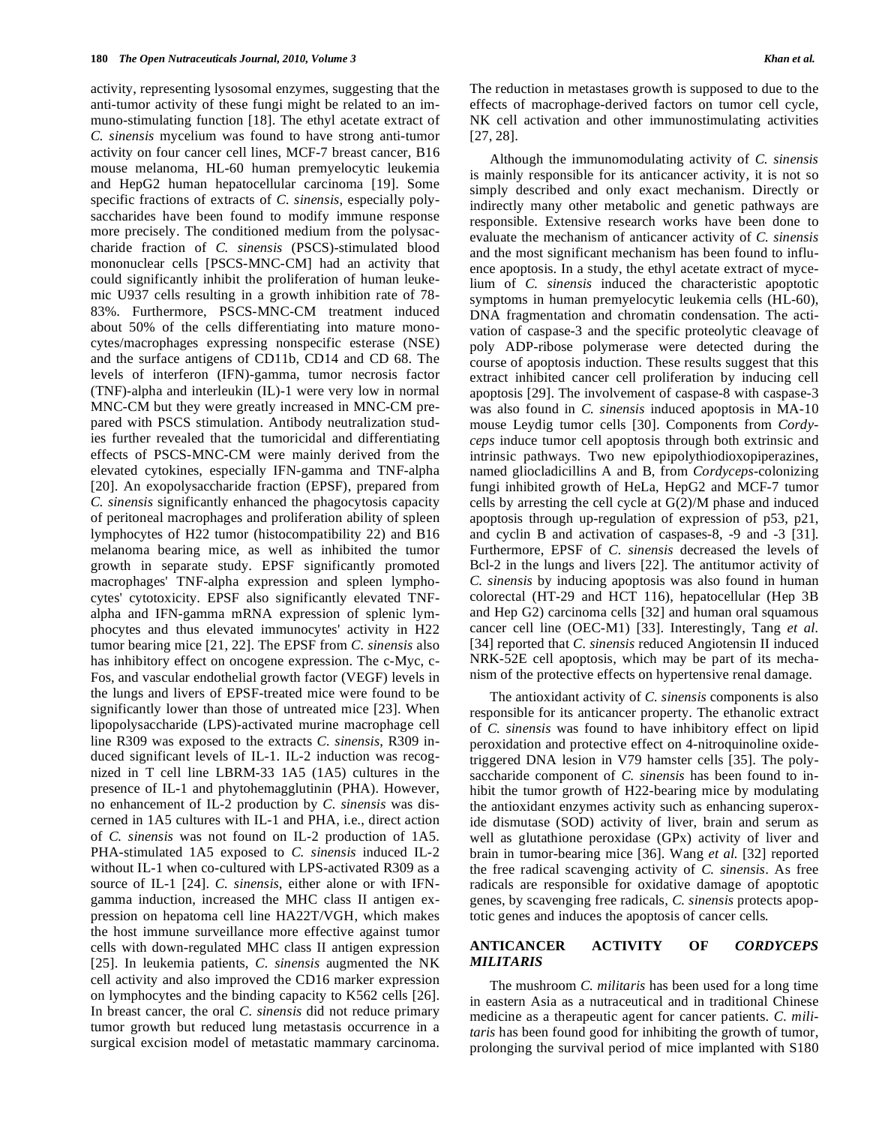activity, representing lysosomal enzymes, suggesting that the anti-tumor activity of these fungi might be related to an immuno-stimulating function [18]. The ethyl acetate extract of *C. sinensis* mycelium was found to have strong anti-tumor activity on four cancer cell lines, MCF-7 breast cancer, B16 mouse melanoma, HL-60 human premyelocytic leukemia and HepG2 human hepatocellular carcinoma [19]. Some specific fractions of extracts of *C. sinensis*, especially polysaccharides have been found to modify immune response more precisely. The conditioned medium from the polysaccharide fraction of *C. sinensis* (PSCS)-stimulated blood mononuclear cells [PSCS-MNC-CM] had an activity that could significantly inhibit the proliferation of human leukemic U937 cells resulting in a growth inhibition rate of 78- 83%. Furthermore, PSCS-MNC-CM treatment induced about 50% of the cells differentiating into mature monocytes/macrophages expressing nonspecific esterase (NSE) and the surface antigens of CD11b, CD14 and CD 68. The levels of interferon (IFN)-gamma, tumor necrosis factor (TNF)-alpha and interleukin (IL)-1 were very low in normal MNC-CM but they were greatly increased in MNC-CM prepared with PSCS stimulation. Antibody neutralization studies further revealed that the tumoricidal and differentiating effects of PSCS-MNC-CM were mainly derived from the elevated cytokines, especially IFN-gamma and TNF-alpha [20]. An exopolysaccharide fraction (EPSF), prepared from *C. sinensis* significantly enhanced the phagocytosis capacity of peritoneal macrophages and proliferation ability of spleen lymphocytes of H22 tumor (histocompatibility 22) and B16 melanoma bearing mice, as well as inhibited the tumor growth in separate study. EPSF significantly promoted macrophages' TNF-alpha expression and spleen lymphocytes' cytotoxicity. EPSF also significantly elevated TNFalpha and IFN-gamma mRNA expression of splenic lymphocytes and thus elevated immunocytes' activity in H22 tumor bearing mice [21, 22]. The EPSF from *C. sinensis* also has inhibitory effect on oncogene expression. The c-Myc, c-Fos, and vascular endothelial growth factor (VEGF) levels in the lungs and livers of EPSF-treated mice were found to be significantly lower than those of untreated mice [23]. When lipopolysaccharide (LPS)-activated murine macrophage cell line R309 was exposed to the extracts *C. sinensis*, R309 induced significant levels of IL-1. IL-2 induction was recognized in T cell line LBRM-33 1A5 (1A5) cultures in the presence of IL-1 and phytohemagglutinin (PHA). However, no enhancement of IL-2 production by *C. sinensis* was discerned in 1A5 cultures with IL-1 and PHA, i.e., direct action of *C. sinensis* was not found on IL-2 production of 1A5. PHA-stimulated 1A5 exposed to *C. sinensis* induced IL-2 without IL-1 when co-cultured with LPS-activated R309 as a source of IL-1 [24]. *C. sinensis*, either alone or with IFNgamma induction, increased the MHC class II antigen expression on hepatoma cell line HA22T/VGH, which makes the host immune surveillance more effective against tumor cells with down-regulated MHC class II antigen expression [25]. In leukemia patients, *C. sinensis* augmented the NK cell activity and also improved the CD16 marker expression on lymphocytes and the binding capacity to K562 cells [26]. In breast cancer, the oral *C. sinensis* did not reduce primary tumor growth but reduced lung metastasis occurrence in a surgical excision model of metastatic mammary carcinoma.

The reduction in metastases growth is supposed to due to the effects of macrophage-derived factors on tumor cell cycle, NK cell activation and other immunostimulating activities [27, 28].

 Although the immunomodulating activity of *C. sinensis* is mainly responsible for its anticancer activity, it is not so simply described and only exact mechanism. Directly or indirectly many other metabolic and genetic pathways are responsible. Extensive research works have been done to evaluate the mechanism of anticancer activity of *C. sinensis* and the most significant mechanism has been found to influence apoptosis. In a study, the ethyl acetate extract of mycelium of *C. sinensis* induced the characteristic apoptotic symptoms in human premyelocytic leukemia cells (HL-60), DNA fragmentation and chromatin condensation. The activation of caspase-3 and the specific proteolytic cleavage of poly ADP-ribose polymerase were detected during the course of apoptosis induction. These results suggest that this extract inhibited cancer cell proliferation by inducing cell apoptosis [29]. The involvement of caspase-8 with caspase-3 was also found in *C. sinensis* induced apoptosis in MA-10 mouse Leydig tumor cells [30]. Components from *Cordyceps* induce tumor cell apoptosis through both extrinsic and intrinsic pathways. Two new epipolythiodioxopiperazines, named gliocladicillins A and B, from *Cordyceps*-colonizing fungi inhibited growth of HeLa, HepG2 and MCF-7 tumor cells by arresting the cell cycle at  $G(2)/M$  phase and induced apoptosis through up-regulation of expression of p53, p21, and cyclin B and activation of caspases-8, -9 and -3 [31]. Furthermore, EPSF of *C. sinensis* decreased the levels of Bcl-2 in the lungs and livers [22]. The antitumor activity of *C. sinensis* by inducing apoptosis was also found in human colorectal (HT-29 and HCT 116), hepatocellular (Hep 3B and Hep G2) carcinoma cells [32] and human oral squamous cancer cell line (OEC-M1) [33]. Interestingly, Tang *et al.* [34] reported that *C. sinensis* reduced Angiotensin II induced NRK-52E cell apoptosis, which may be part of its mechanism of the protective effects on hypertensive renal damage.

 The antioxidant activity of *C. sinensis* components is also responsible for its anticancer property. The ethanolic extract of *C. sinensis* was found to have inhibitory effect on lipid peroxidation and protective effect on 4-nitroquinoline oxidetriggered DNA lesion in V79 hamster cells [35]. The polysaccharide component of *C. sinensis* has been found to inhibit the tumor growth of H22-bearing mice by modulating the antioxidant enzymes activity such as enhancing superoxide dismutase (SOD) activity of liver, brain and serum as well as glutathione peroxidase (GPx) activity of liver and brain in tumor-bearing mice [36]. Wang *et al.* [32] reported the free radical scavenging activity of *C. sinensis*. As free radicals are responsible for oxidative damage of apoptotic genes, by scavenging free radicals, *C. sinensis* protects apoptotic genes and induces the apoptosis of cancer cells*.*

# **ANTICANCER ACTIVITY OF** *CORDYCEPS MILITARIS*

 The mushroom *C. militaris* has been used for a long time in eastern Asia as a nutraceutical and in traditional Chinese medicine as a therapeutic agent for cancer patients. *C. militaris* has been found good for inhibiting the growth of tumor, prolonging the survival period of mice implanted with S180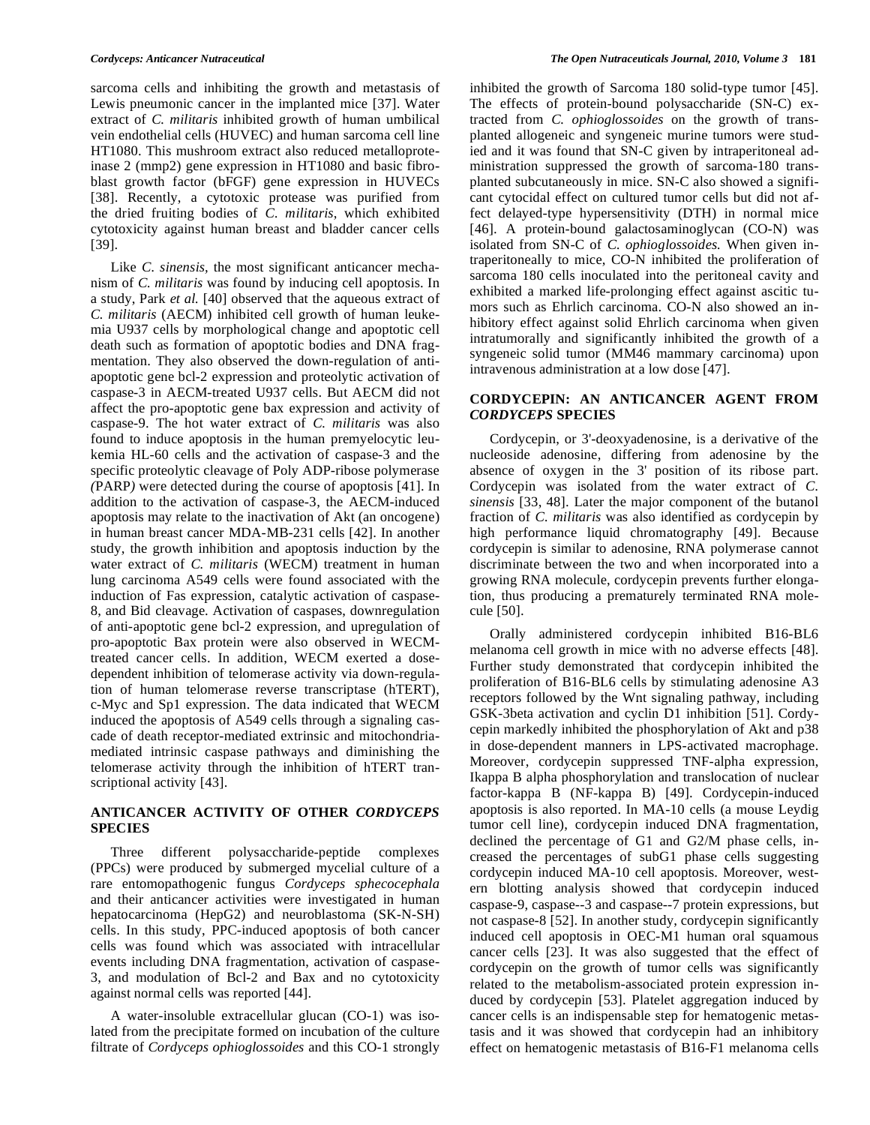sarcoma cells and inhibiting the growth and metastasis of Lewis pneumonic cancer in the implanted mice [37]. Water extract of *C. militaris* inhibited growth of human umbilical vein endothelial cells (HUVEC) and human sarcoma cell line HT1080. This mushroom extract also reduced metalloproteinase 2 (mmp2) gene expression in HT1080 and basic fibroblast growth factor (bFGF) gene expression in HUVECs [38]. Recently, a cytotoxic protease was purified from the dried fruiting bodies of *C. militaris*, which exhibited cytotoxicity against human breast and bladder cancer cells [39].

 Like *C. sinensis,* the most significant anticancer mechanism of *C. militaris* was found by inducing cell apoptosis. In a study, Park *et al.* [40] observed that the aqueous extract of *C. militaris* (AECM) inhibited cell growth of human leukemia U937 cells by morphological change and apoptotic cell death such as formation of apoptotic bodies and DNA fragmentation. They also observed the down-regulation of antiapoptotic gene bcl-2 expression and proteolytic activation of caspase-3 in AECM-treated U937 cells. But AECM did not affect the pro-apoptotic gene bax expression and activity of caspase-9. The hot water extract of *C. militaris* was also found to induce apoptosis in the human premyelocytic leukemia HL-60 cells and the activation of caspase-3 and the specific proteolytic cleavage of Poly ADP*-*ribose polymerase *(*PARP*)* were detected during the course of apoptosis [41]. In addition to the activation of caspase-3, the AECM-induced apoptosis may relate to the inactivation of Akt (an oncogene) in human breast cancer MDA-MB-231 cells [42]. In another study, the growth inhibition and apoptosis induction by the water extract of *C. militaris* (WECM) treatment in human lung carcinoma A549 cells were found associated with the induction of Fas expression, catalytic activation of caspase-8, and Bid cleavage. Activation of caspases, downregulation of anti-apoptotic gene bcl-2 expression, and upregulation of pro-apoptotic Bax protein were also observed in WECMtreated cancer cells. In addition, WECM exerted a dosedependent inhibition of telomerase activity via down-regulation of human telomerase reverse transcriptase (hTERT), c-Myc and Sp1 expression. The data indicated that WECM induced the apoptosis of A549 cells through a signaling cascade of death receptor-mediated extrinsic and mitochondriamediated intrinsic caspase pathways and diminishing the telomerase activity through the inhibition of hTERT transcriptional activity [43].

## **ANTICANCER ACTIVITY OF OTHER** *CORDYCEPS* **SPECIES**

 Three different polysaccharide-peptide complexes (PPCs) were produced by submerged mycelial culture of a rare entomopathogenic fungus *Cordyceps sphecocephala* and their anticancer activities were investigated in human hepatocarcinoma (HepG2) and neuroblastoma (SK-N-SH) cells. In this study, PPC-induced apoptosis of both cancer cells was found which was associated with intracellular events including DNA fragmentation, activation of caspase-3, and modulation of Bcl-2 and Bax and no cytotoxicity against normal cells was reported [44].

 A water-insoluble extracellular glucan (CO-1) was isolated from the precipitate formed on incubation of the culture filtrate of *Cordyceps ophioglossoides* and this CO-1 strongly inhibited the growth of Sarcoma 180 solid-type tumor [45]. The effects of protein-bound polysaccharide (SN-C) extracted from *C. ophioglossoides* on the growth of transplanted allogeneic and syngeneic murine tumors were studied and it was found that SN-C given by intraperitoneal administration suppressed the growth of sarcoma-180 transplanted subcutaneously in mice. SN-C also showed a significant cytocidal effect on cultured tumor cells but did not affect delayed-type hypersensitivity (DTH) in normal mice [46]. A protein-bound galactosaminoglycan (CO-N) was isolated from SN-C of *C. ophioglossoides.* When given intraperitoneally to mice, CO-N inhibited the proliferation of sarcoma 180 cells inoculated into the peritoneal cavity and exhibited a marked life-prolonging effect against ascitic tumors such as Ehrlich carcinoma. CO-N also showed an inhibitory effect against solid Ehrlich carcinoma when given intratumorally and significantly inhibited the growth of a syngeneic solid tumor (MM46 mammary carcinoma) upon intravenous administration at a low dose [47].

#### **CORDYCEPIN: AN ANTICANCER AGENT FROM**  *CORDYCEPS* **SPECIES**

 Cordycepin, or 3'-deoxyadenosine, is a derivative of the nucleoside adenosine, differing from adenosine by the absence of oxygen in the 3' position of its ribose part. Cordycepin was isolated from the water extract of *C. sinensis* [33, 48]. Later the major component of the butanol fraction of *C. militaris* was also identified as cordycepin by high performance liquid chromatography [49]. Because cordycepin is similar to adenosine, RNA polymerase cannot discriminate between the two and when incorporated into a growing RNA molecule, cordycepin prevents further elongation, thus producing a prematurely terminated RNA molecule [50].

 Orally administered cordycepin inhibited B16-BL6 melanoma cell growth in mice with no adverse effects [48]. Further study demonstrated that cordycepin inhibited the proliferation of B16-BL6 cells by stimulating adenosine A3 receptors followed by the Wnt signaling pathway, including GSK-3beta activation and cyclin D1 inhibition [51]. Cordycepin markedly inhibited the phosphorylation of Akt and p38 in dose-dependent manners in LPS-activated macrophage. Moreover, cordycepin suppressed TNF-alpha expression, Ikappa B alpha phosphorylation and translocation of nuclear factor-kappa B (NF-kappa B) [49]. Cordycepin-induced apoptosis is also reported. In MA-10 cells (a mouse Leydig tumor cell line), cordycepin induced DNA fragmentation, declined the percentage of G1 and G2/M phase cells, increased the percentages of subG1 phase cells suggesting cordycepin induced MA-10 cell apoptosis. Moreover, western blotting analysis showed that cordycepin induced caspase-9, caspase--3 and caspase--7 protein expressions, but not caspase-8 [52]. In another study, cordycepin significantly induced cell apoptosis in OEC-M1 human oral squamous cancer cells [23]. It was also suggested that the effect of cordycepin on the growth of tumor cells was significantly related to the metabolism-associated protein expression induced by cordycepin [53]. Platelet aggregation induced by cancer cells is an indispensable step for hematogenic metastasis and it was showed that cordycepin had an inhibitory effect on hematogenic metastasis of B16-F1 melanoma cells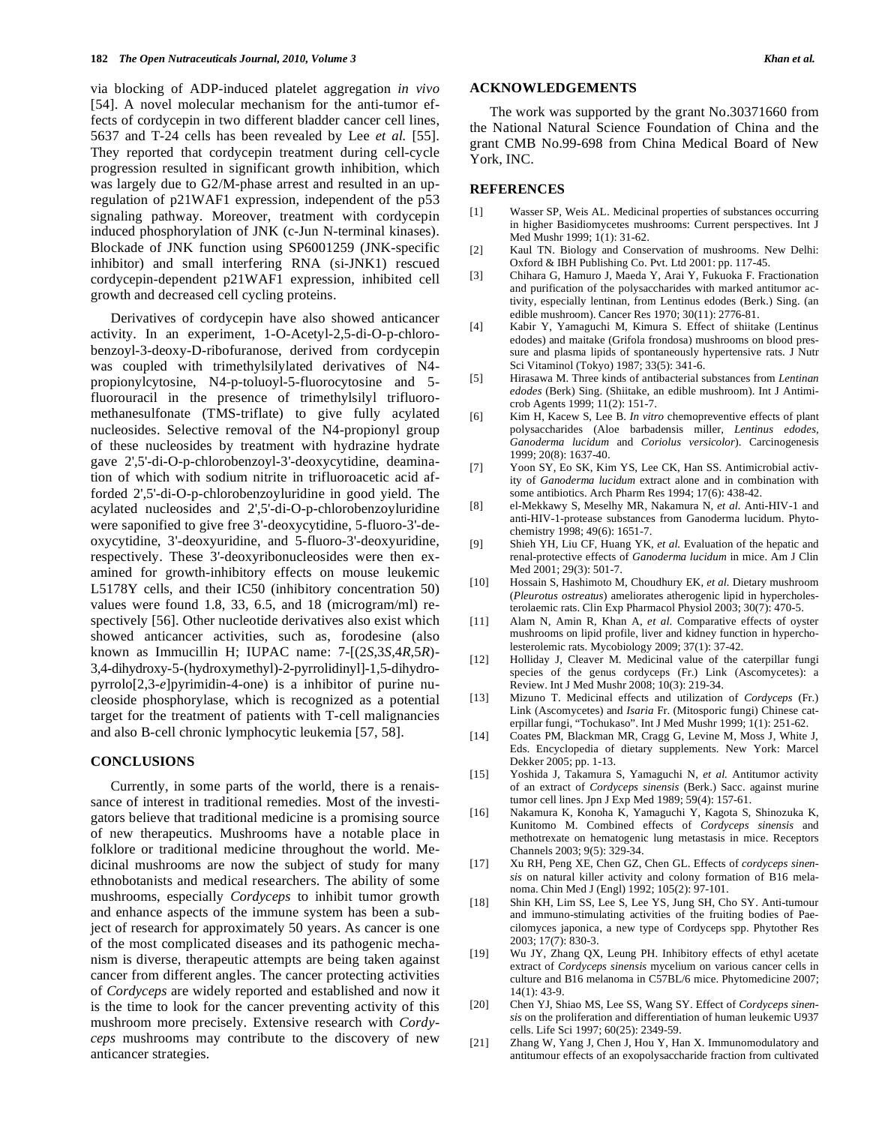via blocking of ADP-induced platelet aggregation *in vivo*  [54]. A novel molecular mechanism for the anti-tumor effects of cordycepin in two different bladder cancer cell lines, 5637 and T-24 cells has been revealed by Lee *et al.* [55]. They reported that cordycepin treatment during cell-cycle progression resulted in significant growth inhibition, which was largely due to G2/M-phase arrest and resulted in an upregulation of p21WAF1 expression, independent of the p53 signaling pathway. Moreover, treatment with cordycepin induced phosphorylation of JNK (c-Jun N-terminal kinases). Blockade of JNK function using SP6001259 (JNK-specific inhibitor) and small interfering RNA (si-JNK1) rescued cordycepin-dependent p21WAF1 expression, inhibited cell growth and decreased cell cycling proteins.

 Derivatives of cordycepin have also showed anticancer activity. In an experiment, 1-O-Acetyl-2,5-di-O-p-chlorobenzoyl-3-deoxy-D-ribofuranose, derived from cordycepin was coupled with trimethylsilylated derivatives of N4 propionylcytosine, N4-p-toluoyl-5-fluorocytosine and 5 fluorouracil in the presence of trimethylsilyl trifluoromethanesulfonate (TMS-triflate) to give fully acylated nucleosides. Selective removal of the N4-propionyl group of these nucleosides by treatment with hydrazine hydrate gave 2',5'-di-O-p-chlorobenzoyl-3'-deoxycytidine, deamination of which with sodium nitrite in trifluoroacetic acid afforded 2',5'-di-O-p-chlorobenzoyluridine in good yield. The acylated nucleosides and 2',5'-di-O-p-chlorobenzoyluridine were saponified to give free 3'-deoxycytidine, 5-fluoro-3'-deoxycytidine, 3'-deoxyuridine, and 5-fluoro-3'-deoxyuridine, respectively. These 3'-deoxyribonucleosides were then examined for growth-inhibitory effects on mouse leukemic L5178Y cells, and their IC50 (inhibitory concentration 50) values were found 1.8, 33, 6.5, and 18 (microgram/ml) respectively [56]. Other nucleotide derivatives also exist which showed anticancer activities, such as, forodesine (also known as Immucillin H; IUPAC name: 7-[(2*S*,3*S*,4*R*,5*R*)- 3,4-dihydroxy-5-(hydroxymethyl)-2-pyrrolidinyl]-1,5-dihydropyrrolo[2,3-*e*]pyrimidin-4-one) is a inhibitor of purine nucleoside phosphorylase, which is recognized as a potential target for the treatment of patients with T-cell malignancies and also B-cell chronic lymphocytic leukemia [57, 58].

#### **CONCLUSIONS**

 Currently, in some parts of the world, there is a renaissance of interest in traditional remedies. Most of the investigators believe that traditional medicine is a promising source of new therapeutics. Mushrooms have a notable place in folklore or traditional medicine throughout the world. Medicinal mushrooms are now the subject of study for many ethnobotanists and medical researchers. The ability of some mushrooms, especially *Cordyceps* to inhibit tumor growth and enhance aspects of the immune system has been a subject of research for approximately 50 years. As cancer is one of the most complicated diseases and its pathogenic mechanism is diverse, therapeutic attempts are being taken against cancer from different angles. The cancer protecting activities of *Cordyceps* are widely reported and established and now it is the time to look for the cancer preventing activity of this mushroom more precisely. Extensive research with *Cordyceps* mushrooms may contribute to the discovery of new anticancer strategies.

#### **ACKNOWLEDGEMENTS**

 The work was supported by the grant No.30371660 from the National Natural Science Foundation of China and the grant CMB No.99-698 from China Medical Board of New York, INC.

#### **REFERENCES**

- [1] Wasser SP, Weis AL. Medicinal properties of substances occurring in higher Basidiomycetes mushrooms: Current perspectives. Int J Med Mushr 1999; 1(1): 31-62.
- [2] Kaul TN. Biology and Conservation of mushrooms. New Delhi: Oxford & IBH Publishing Co. Pvt. Ltd 2001: pp. 117-45.
- [3] Chihara G, Hamuro J, Maeda Y, Arai Y, Fukuoka F. Fractionation and purification of the polysaccharides with marked antitumor activity, especially lentinan, from Lentinus edodes (Berk.) Sing. (an edible mushroom). Cancer Res 1970; 30(11): 2776-81.
- [4] Kabir Y, Yamaguchi M, Kimura S. Effect of shiitake (Lentinus edodes) and maitake (Grifola frondosa) mushrooms on blood pressure and plasma lipids of spontaneously hypertensive rats. J Nutr Sci Vitaminol (Tokyo) 1987; 33(5): 341-6.
- [5] Hirasawa M. Three kinds of antibacterial substances from *Lentinan edodes* (Berk) Sing. (Shiitake, an edible mushroom). Int J Antimicrob Agents 1999; 11(2): 151-7.
- [6] Kim H, Kacew S, Lee B. *In vitro* chemopreventive effects of plant polysaccharides (Aloe barbadensis miller, *Lentinus edodes, Ganoderma lucidum* and *Coriolus versicolor*). Carcinogenesis 1999; 20(8): 1637-40.
- [7] Yoon SY, Eo SK, Kim YS, Lee CK, Han SS. Antimicrobial activity of *Ganoderma lucidum* extract alone and in combination with some antibiotics. Arch Pharm Res 1994; 17(6): 438-42.
- [8] el-Mekkawy S, Meselhy MR, Nakamura N, *et al.* Anti-HIV-1 and anti-HIV-1-protease substances from Ganoderma lucidum. Phytochemistry 1998; 49(6): 1651-7.
- [9] Shieh YH, Liu CF, Huang YK, *et al.* Evaluation of the hepatic and renal-protective effects of *Ganoderma lucidum* in mice. Am J Clin Med 2001; 29(3): 501-7.
- [10] Hossain S, Hashimoto M, Choudhury EK, *et al.* Dietary mushroom (*Pleurotus ostreatus*) ameliorates atherogenic lipid in hypercholesterolaemic rats. Clin Exp Pharmacol Physiol 2003; 30(7): 470-5.
- [11] Alam N, Amin R, Khan A, *et al*. Comparative effects of oyster mushrooms on lipid profile, liver and kidney function in hypercholesterolemic rats. Mycobiology 2009; 37(1): 37-42.
- [12] Holliday J, Cleaver M. Medicinal value of the caterpillar fungi species of the genus cordyceps (Fr.) Link (Ascomycetes): a Review. Int J Med Mushr 2008; 10(3): 219-34.
- [13] Mizuno T. Medicinal effects and utilization of *Cordyceps* (Fr.) Link (Ascomycetes) and *Isaria* Fr. (Mitosporic fungi) Chinese caterpillar fungi, "Tochukaso". Int J Med Mushr 1999; 1(1): 251-62.
- [14] Coates PM, Blackman MR, Cragg G, Levine M, Moss J, White J, Eds. Encyclopedia of dietary supplements. New York: Marcel Dekker 2005; pp. 1-13.
- [15] Yoshida J, Takamura S, Yamaguchi N, *et al.* Antitumor activity of an extract of *Cordyceps sinensis* (Berk.) Sacc. against murine tumor cell lines. Jpn J Exp Med 1989; 59(4): 157-61.
- [16] Nakamura K, Konoha K, Yamaguchi Y, Kagota S, Shinozuka K, Kunitomo M. Combined effects of *Cordyceps sinensis* and methotrexate on hematogenic lung metastasis in mice. Receptors Channels 2003; 9(5): 329-34.
- [17] Xu RH, Peng XE, Chen GZ, Chen GL. Effects of *cordyceps sinensis* on natural killer activity and colony formation of B16 melanoma. Chin Med J (Engl) 1992; 105(2): 97-101.
- [18] Shin KH, Lim SS, Lee S, Lee YS, Jung SH, Cho SY. Anti-tumour and immuno-stimulating activities of the fruiting bodies of Paecilomyces japonica, a new type of Cordyceps spp. Phytother Res 2003; 17(7): 830-3.
- [19] Wu JY, Zhang QX, Leung PH. Inhibitory effects of ethyl acetate extract of *Cordyceps sinensis* mycelium on various cancer cells in culture and B16 melanoma in C57BL/6 mice. Phytomedicine 2007; 14(1): 43-9.
- [20] Chen YJ, Shiao MS, Lee SS, Wang SY. Effect of *Cordyceps sinensis* on the proliferation and differentiation of human leukemic U937 cells. Life Sci 1997; 60(25): 2349-59.
- [21] Zhang W, Yang J, Chen J, Hou Y, Han X. Immunomodulatory and antitumour effects of an exopolysaccharide fraction from cultivated